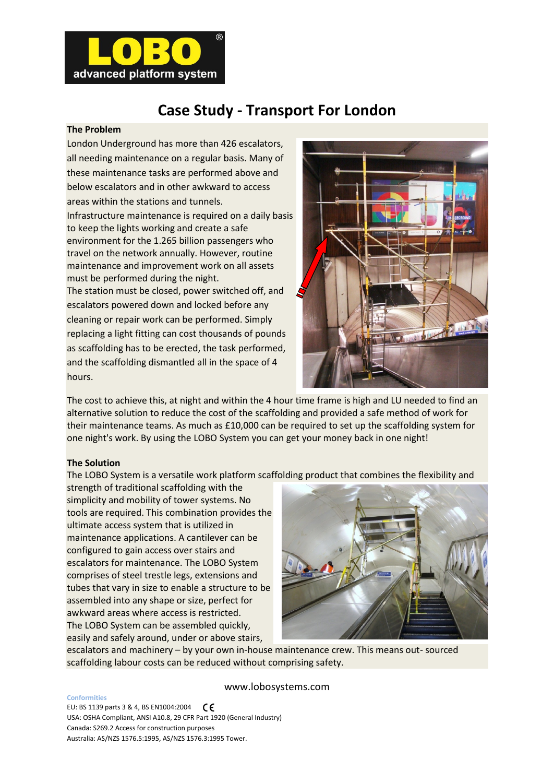

# **Case Study - Transport For London**

# **The Problem**

London Underground has more than 426 escalators, all needing maintenance on a regular basis. Many of these maintenance tasks are performed above and below escalators and in other awkward to access areas within the stations and tunnels. Infrastructure maintenance is required on a daily basis to keep the lights working and create a safe environment for the 1.265 billion passengers who travel on the network annually. However, routine maintenance and improvement work on all assets must be performed during the night. The station must be closed, power switched off, and escalators powered down and locked before any cleaning or repair work can be performed. Simply replacing a light fitting can cost thousands of pounds as scaffolding has to be erected, the task performed,

and the scaffolding dismantled all in the space of 4



The cost to achieve this, at night and within the 4 hour time frame is high and LU needed to find an alternative solution to reduce the cost of the scaffolding and provided a safe method of work for their maintenance teams. As much as £10,000 can be required to set up the scaffolding system for one night's work. By using the LOBO System you can get your money back in one night!

# **The Solution**

hours.

The LOBO System is a versatile work platform scaffolding product that combines the flexibility and

strength of traditional scaffolding with the simplicity and mobility of tower systems. No tools are required. This combination provides the ultimate access system that is utilized in maintenance applications. A cantilever can be configured to gain access over stairs and escalators for maintenance. The LOBO System comprises of steel trestle legs, extensions and tubes that vary in size to enable a structure to be assembled into any shape or size, perfect for awkward areas where access is restricted. The LOBO System can be assembled quickly, easily and safely around, under or above stairs,



escalators and machinery – by your own in-house maintenance crew. This means out- sourced scaffolding labour costs can be reduced without comprising safety.

### www.lobosystems.com

**Conformities** EU: BS 1139 parts 3 & 4, BS EN1004:2004  $\zeta$ USA: OSHA Compliant, ANSI A10.8, 29 CFR Part 1920 (General Industry) Canada: S269.2 Access for construction purposes Australia: AS/NZS 1576.5:1995, AS/NZS 1576.3:1995 Tower.